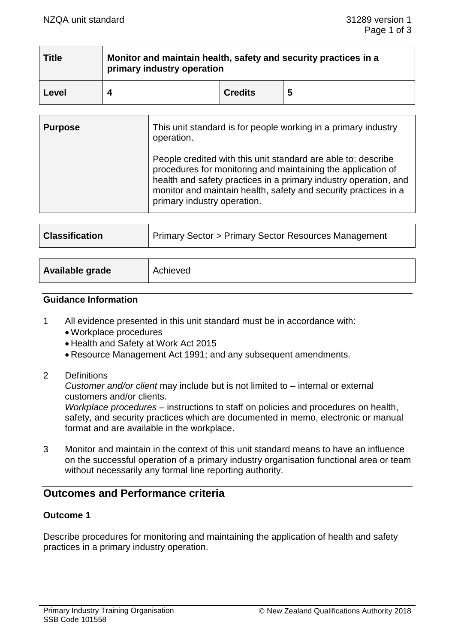| <b>Title</b> | Monitor and maintain health, safety and security practices in a<br>primary industry operation |                |   |  |
|--------------|-----------------------------------------------------------------------------------------------|----------------|---|--|
| Level        |                                                                                               | <b>Credits</b> | 5 |  |

| <b>Purpose</b> | This unit standard is for people working in a primary industry<br>operation.                                                                                                                                                                                                                        |  |
|----------------|-----------------------------------------------------------------------------------------------------------------------------------------------------------------------------------------------------------------------------------------------------------------------------------------------------|--|
|                | People credited with this unit standard are able to: describe<br>procedures for monitoring and maintaining the application of<br>health and safety practices in a primary industry operation, and<br>monitor and maintain health, safety and security practices in a<br>primary industry operation. |  |

| <b>Classification</b> | Primary Sector > Primary Sector Resources Management |  |
|-----------------------|------------------------------------------------------|--|
|                       |                                                      |  |
| Available grade       | Achieved                                             |  |

#### **Guidance Information**

- 1 All evidence presented in this unit standard must be in accordance with:
	- Workplace procedures
	- Health and Safety at Work Act 2015
	- Resource Management Act 1991; and any subsequent amendments.
- 2 Definitions

*Customer and/or client* may include but is not limited to – internal or external customers and/or clients.

*Workplace procedures* – instructions to staff on policies and procedures on health, safety, and security practices which are documented in memo, electronic or manual format and are available in the workplace.

3 Monitor and maintain in the context of this unit standard means to have an influence on the successful operation of a primary industry organisation functional area or team without necessarily any formal line reporting authority.

# **Outcomes and Performance criteria**

### **Outcome 1**

Describe procedures for monitoring and maintaining the application of health and safety practices in a primary industry operation.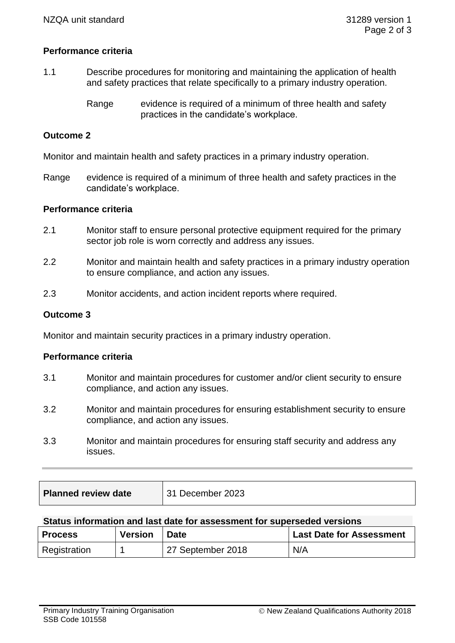# **Performance criteria**

- 1.1 Describe procedures for monitoring and maintaining the application of health and safety practices that relate specifically to a primary industry operation.
	- Range evidence is required of a minimum of three health and safety practices in the candidate's workplace.

### **Outcome 2**

Monitor and maintain health and safety practices in a primary industry operation.

Range evidence is required of a minimum of three health and safety practices in the candidate's workplace.

### **Performance criteria**

- 2.1 Monitor staff to ensure personal protective equipment required for the primary sector job role is worn correctly and address any issues.
- 2.2 Monitor and maintain health and safety practices in a primary industry operation to ensure compliance, and action any issues.
- 2.3 Monitor accidents, and action incident reports where required.

#### **Outcome 3**

Monitor and maintain security practices in a primary industry operation.

#### **Performance criteria**

- 3.1 Monitor and maintain procedures for customer and/or client security to ensure compliance, and action any issues.
- 3.2 Monitor and maintain procedures for ensuring establishment security to ensure compliance, and action any issues.
- 3.3 Monitor and maintain procedures for ensuring staff security and address any issues.

| <b>Planned review date</b><br>31 December 2023 |  |
|------------------------------------------------|--|
|------------------------------------------------|--|

#### **Status information and last date for assessment for superseded versions**

| <b>Process</b> | <b>Version</b> | <b>Date</b>       | <b>Last Date for Assessment</b> |
|----------------|----------------|-------------------|---------------------------------|
| Registration   |                | 27 September 2018 | N/A                             |